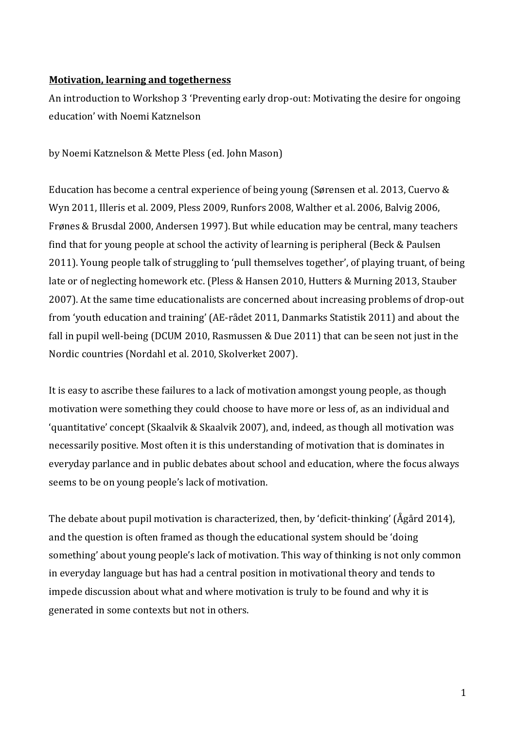## **Motivation, learning and togetherness**

An introduction to Workshop 3 'Preventing early drop-out: Motivating the desire for ongoing education' with Noemi Katznelson

by Noemi Katznelson & Mette Pless (ed. John Mason)

Education has become a central experience of being young (Sørensen et al. 2013, Cuervo & Wyn 2011, Illeris et al. 2009, Pless 2009, Runfors 2008, Walther et al. 2006, Balvig 2006, Frønes & Brusdal 2000, Andersen 1997). But while education may be central, many teachers find that for young people at school the activity of learning is peripheral (Beck & Paulsen 2011). Young people talk of struggling to 'pull themselves together', of playing truant, of being late or of neglecting homework etc. (Pless & Hansen 2010, Hutters & Murning 2013, Stauber 2007). At the same time educationalists are concerned about increasing problems of drop-out from 'youth education and training' (AE-rådet 2011, Danmarks Statistik 2011) and about the fall in pupil well-being (DCUM 2010, Rasmussen & Due 2011) that can be seen not just in the Nordic countries (Nordahl et al. 2010, Skolverket 2007).

It is easy to ascribe these failures to a lack of motivation amongst young people, as though motivation were something they could choose to have more or less of, as an individual and 'quantitative' concept (Skaalvik & Skaalvik 2007), and, indeed, as though all motivation was necessarily positive. Most often it is this understanding of motivation that is dominates in everyday parlance and in public debates about school and education, where the focus always seems to be on young people's lack of motivation.

The debate about pupil motivation is characterized, then, by 'deficit-thinking' (Ågård 2014), and the question is often framed as though the educational system should be 'doing something' about young people's lack of motivation. This way of thinking is not only common in everyday language but has had a central position in motivational theory and tends to impede discussion about what and where motivation is truly to be found and why it is generated in some contexts but not in others.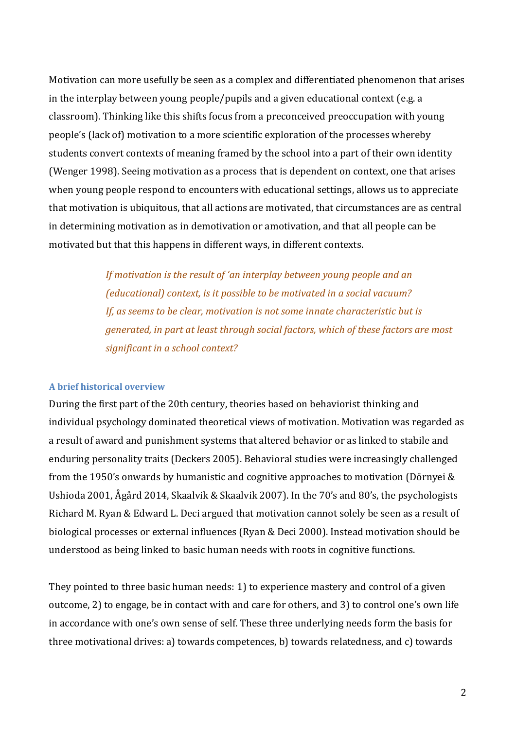Motivation can more usefully be seen as a complex and differentiated phenomenon that arises in the interplay between young people/pupils and a given educational context (e.g. a classroom). Thinking like this shifts focus from a preconceived preoccupation with young people's (lack of) motivation to a more scientific exploration of the processes whereby students convert contexts of meaning framed by the school into a part of their own identity (Wenger 1998). Seeing motivation as a process that is dependent on context, one that arises when young people respond to encounters with educational settings, allows us to appreciate that motivation is ubiquitous, that all actions are motivated, that circumstances are as central in determining motivation as in demotivation or amotivation, and that all people can be motivated but that this happens in different ways, in different contexts.

> *If motivation is the result of 'an interplay between young people and an (educational) context, is it possible to be motivated in a social vacuum? If, as seems to be clear, motivation is not some innate characteristic but is generated, in part at least through social factors, which of these factors are most significant in a school context?*

## **A brief historical overview**

During the first part of the 20th century, theories based on behaviorist thinking and individual psychology dominated theoretical views of motivation. Motivation was regarded as a result of award and punishment systems that altered behavior or as linked to stabile and enduring personality traits (Deckers 2005). Behavioral studies were increasingly challenged from the 1950's onwards by humanistic and cognitive approaches to motivation (Dörnyei & Ushioda 2001, Ågård 2014, Skaalvik & Skaalvik 2007). In the 70's and 80's, the psychologists Richard M. Ryan & Edward L. Deci argued that motivation cannot solely be seen as a result of biological processes or external influences (Ryan & Deci 2000). Instead motivation should be understood as being linked to basic human needs with roots in cognitive functions.

They pointed to three basic human needs: 1) to experience mastery and control of a given outcome, 2) to engage, be in contact with and care for others, and 3) to control one's own life in accordance with one's own sense of self. These three underlying needs form the basis for three motivational drives: a) towards competences, b) towards relatedness, and c) towards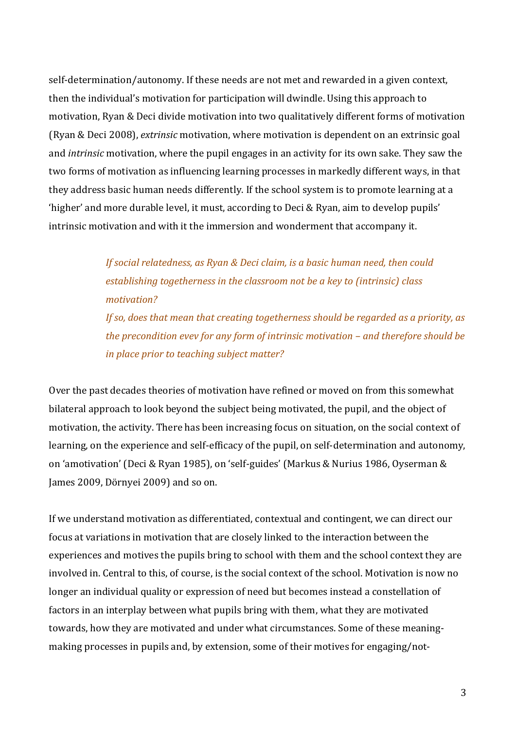self-determination/autonomy. If these needs are not met and rewarded in a given context, then the individual's motivation for participation will dwindle. Using this approach to motivation, Ryan & Deci divide motivation into two qualitatively different forms of motivation (Ryan & Deci 2008), *extrinsic* motivation, where motivation is dependent on an extrinsic goal and *intrinsic* motivation, where the pupil engages in an activity for its own sake. They saw the two forms of motivation as influencing learning processes in markedly different ways, in that they address basic human needs differently. If the school system is to promote learning at a 'higher' and more durable level, it must, according to Deci & Ryan, aim to develop pupils' intrinsic motivation and with it the immersion and wonderment that accompany it.

> *If social relatedness, as Ryan & Deci claim, is a basic human need, then could establishing togetherness in the classroom not be a key to (intrinsic) class motivation? If so, does that mean that creating togetherness should be regarded as a priority, as the precondition evev for any form of intrinsic motivation – and therefore should be in place prior to teaching subject matter?*

Over the past decades theories of motivation have refined or moved on from this somewhat bilateral approach to look beyond the subject being motivated, the pupil, and the object of motivation, the activity. There has been increasing focus on situation, on the social context of learning, on the experience and self-efficacy of the pupil, on self-determination and autonomy, on 'amotivation' (Deci & Ryan 1985), on 'self-guides' (Markus & Nurius 1986, Oyserman & James 2009, Dörnyei 2009) and so on.

If we understand motivation as differentiated, contextual and contingent, we can direct our focus at variations in motivation that are closely linked to the interaction between the experiences and motives the pupils bring to school with them and the school context they are involved in. Central to this, of course, is the social context of the school. Motivation is now no longer an individual quality or expression of need but becomes instead a constellation of factors in an interplay between what pupils bring with them, what they are motivated towards, how they are motivated and under what circumstances. Some of these meaningmaking processes in pupils and, by extension, some of their motives for engaging/not-

3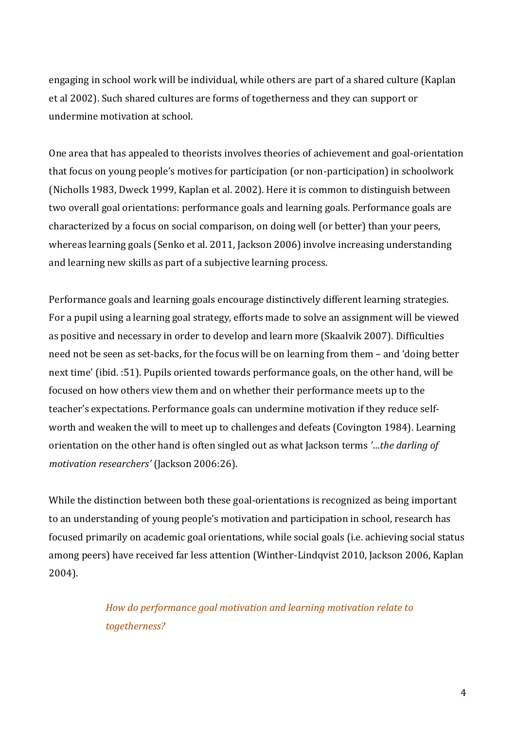engaging in school work will be individual, while others are part of a shared culture (Kaplan et al 2002). Such shared cultures are forms of togetherness and they can support or undermine motivation at school.

One area that has appealed to theorists involves theories of achievement and goal-orientation that focus on young people's motives for participation (or non-participation) in schoolwork (Nicholls 1983, Dweck 1999, Kaplan et al. 2002). Here it is common to distinguish between two overall goal orientations: performance goals and learning goals. Performance goals are characterized by a focus on social comparison, on doing well (or better) than your peers, whereas learning goals (Senko et al. 2011, Jackson 2006) involve increasing understanding and learning new skills as part of a subjective learning process.

Performance goals and learning goals encourage distinctively different learning strategies. For a pupil using a learning goal strategy, efforts made to solve an assignment will be viewed as positive and necessary in order to develop and learn more (Skaalvik 2007). Difficulties need not be seen as set-backs, for the focus will be on learning from them – and 'doing better next time' (ibid. :51). Pupils oriented towards performance goals, on the other hand, will be focused on how others view them and on whether their performance meets up to the teacher's expectations. Performance goals can undermine motivation if they reduce selfworth and weaken the will to meet up to challenges and defeats (Covington 1984). Learning orientation on the other hand is often singled out as what Jackson terms *'…the darling of motivation researchers'* (Jackson 2006:26).

While the distinction between both these goal-orientations is recognized as being important to an understanding of young people's motivation and participation in school, research has focused primarily on academic goal orientations, while social goals (i.e. achieving social status among peers) have received far less attention (Winther-Lindqvist 2010, Jackson 2006, Kaplan 2004).

> *How do performance goal motivation and learning motivation relate to togetherness?*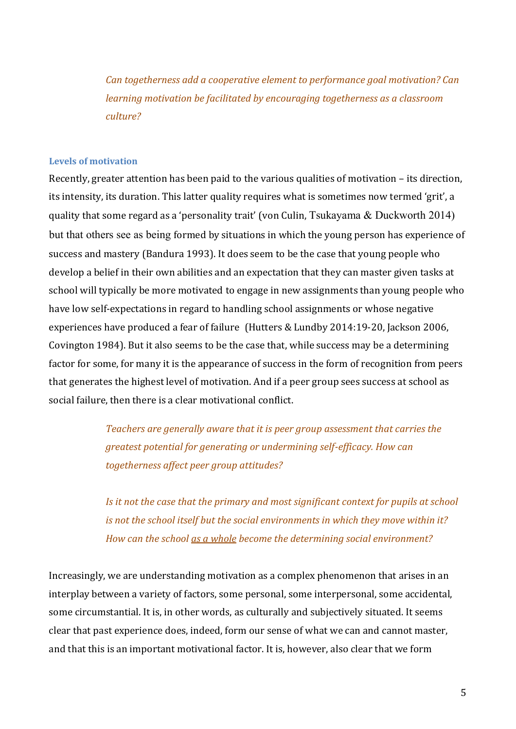*Can togetherness add a cooperative element to performance goal motivation? Can learning motivation be facilitated by encouraging togetherness as a classroom culture?*

## **Levels of motivation**

Recently, greater attention has been paid to the various qualities of motivation – its direction, its intensity, its duration. This latter quality requires what is sometimes now termed 'grit', a quality that some regard as a 'personality trait' (von Culin, Tsukayama & Duckworth 2014) but that others see as being formed by situations in which the young person has experience of success and mastery (Bandura 1993). It does seem to be the case that young people who develop a belief in their own abilities and an expectation that they can master given tasks at school will typically be more motivated to engage in new assignments than young people who have low self-expectations in regard to handling school assignments or whose negative experiences have produced a fear of failure (Hutters & Lundby 2014:19-20, Jackson 2006, Covington 1984). But it also seems to be the case that, while success may be a determining factor for some, for many it is the appearance of success in the form of recognition from peers that generates the highest level of motivation. And if a peer group sees success at school as social failure, then there is a clear motivational conflict.

> *Teachers are generally aware that it is peer group assessment that carries the greatest potential for generating or undermining self-efficacy. How can togetherness affect peer group attitudes?*

*Is it not the case that the primary and most significant context for pupils at school is not the school itself but the social environments in which they move within it? How can the school as a whole become the determining social environment?*

Increasingly, we are understanding motivation as a complex phenomenon that arises in an interplay between a variety of factors, some personal, some interpersonal, some accidental, some circumstantial. It is, in other words, as culturally and subjectively situated. It seems clear that past experience does, indeed, form our sense of what we can and cannot master, and that this is an important motivational factor. It is, however, also clear that we form